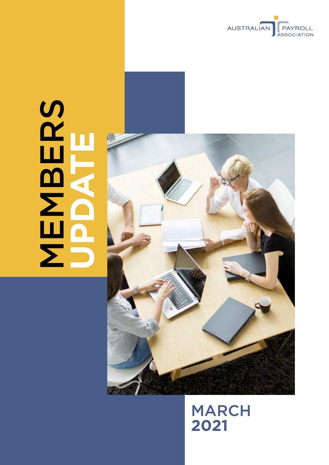

# **MBERS UPDATE**



# MARCH **2021**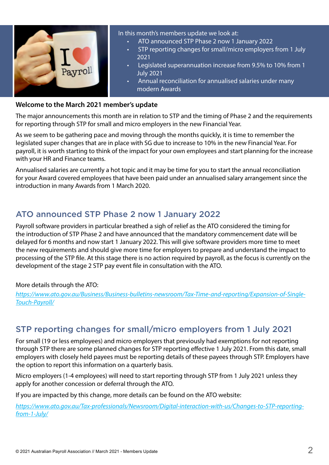

In this month's members update we look at:

- ATO announced STP Phase 2 now 1 January 2022
- STP reporting changes for small/micro employers from 1 July 2021
- Legislated superannuation increase from 9.5% to 10% from 1 July 2021
- Annual reconciliation for annualised salaries under many modern Awards

#### **Welcome to the March 2021 member's update**

The major announcements this month are in relation to STP and the timing of Phase 2 and the requirements for reporting through STP for small and micro employers in the new Financial Year.

As we seem to be gathering pace and moving through the months quickly, it is time to remember the legislated super changes that are in place with SG due to increase to 10% in the new Financial Year. For payroll, it is worth starting to think of the impact for your own employees and start planning for the increase with your HR and Finance teams.

Annualised salaries are currently a hot topic and it may be time for you to start the annual reconciliation for your Award covered employees that have been paid under an annualised salary arrangement since the introduction in many Awards from 1 March 2020.

### ATO announced STP Phase 2 now 1 January 2022

Payroll software providers in particular breathed a sigh of relief as the ATO considered the timing for the introduction of STP Phase 2 and have announced that the mandatory commencement date will be delayed for 6 months and now start 1 January 2022. This will give software providers more time to meet the new requirements and should give more time for employers to prepare and understand the impact to processing of the STP file. At this stage there is no action required by payroll, as the focus is currently on the development of the stage 2 STP pay event file in consultation with the ATO.

#### More details through the ATO:

*[https://www.ato.gov.au/Business/Business-bulletins-newsroom/Tax-Time-and-reporting/Expansion-of-Single-](https://www.ato.gov.au/Business/Business-bulletins-newsroom/Tax-Time-and-reporting/Expansion-of-Single-Touch-Payroll/)[Touch-Payroll/](https://www.ato.gov.au/Business/Business-bulletins-newsroom/Tax-Time-and-reporting/Expansion-of-Single-Touch-Payroll/)*

### STP reporting changes for small/micro employers from 1 July 2021

For small (19 or less employees) and micro employers that previously had exemptions for not reporting through STP there are some planned changes for STP reporting effective 1 July 2021. From this date, small employers with closely held payees must be reporting details of these payees through STP. Employers have the option to report this information on a quarterly basis.

Micro employers (1-4 employees) will need to start reporting through STP from 1 July 2021 unless they apply for another concession or deferral through the ATO.

If you are impacted by this change, more details can be found on the ATO website:

*[https://www.ato.gov.au/Tax-professionals/Newsroom/Digital-interaction-with-us/Changes-to-STP-reporting](https://www.ato.gov.au/Tax-professionals/Newsroom/Digital-interaction-with-us/Changes-to-STP-reporting-from-1-July/)[from-1-July/](https://www.ato.gov.au/Tax-professionals/Newsroom/Digital-interaction-with-us/Changes-to-STP-reporting-from-1-July/)*